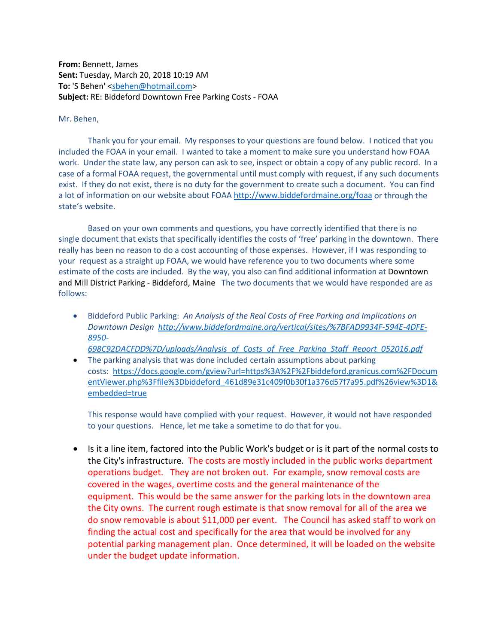**From:** Bennett, James **Sent:** Tuesday, March 20, 2018 10:19 AM **To:** 'S Behen' [<sbehen@hotmail.com>](mailto:sbehen@hotmail.com) **Subject:** RE: Biddeford Downtown Free Parking Costs - FOAA

## Mr. Behen,

Thank you for your email. My responses to your questions are found below. I noticed that you included the FOAA in your email. I wanted to take a moment to make sure you understand how FOAA work. Under the state law, any person can ask to see, inspect or obtain a copy of any public record. In a case of a formal FOAA request, the governmental until must comply with request, if any such documents exist. If they do not exist, there is no duty for the government to create such a document. You can find a lot of information on our website about FOA[A http://www.biddefordmaine.org/foaa](http://www.biddefordmaine.org/foaa) or through the state's website.

Based on your own comments and questions, you have correctly identified that there is no single document that exists that specifically identifies the costs of 'free' parking in the downtown. There really has been no reason to do a cost accounting of those expenses. However, if I was responding to your request as a straight up FOAA, we would have reference you to two documents where some estimate of the costs are included. By the way, you also can find additional information at Downtown and Mill District Parking - Biddeford, Maine The two documents that we would have responded are as follows:

• Biddeford Public Parking: *An Analysis of the Real Costs of Free Parking and Implications on Downtown Design [http://www.biddefordmaine.org/vertical/sites/%7BFAD9934F-594E-4DFE-](http://www.biddefordmaine.org/vertical/sites/%7BFAD9934F-594E-4DFE-8950-698C92DACFDD%7D/uploads/Analysis_of_Costs_of_Free_Parking_Staff_Report_052016.pdf)[8950-](http://www.biddefordmaine.org/vertical/sites/%7BFAD9934F-594E-4DFE-8950-698C92DACFDD%7D/uploads/Analysis_of_Costs_of_Free_Parking_Staff_Report_052016.pdf)*

*[698C92DACFDD%7D/uploads/Analysis\\_of\\_Costs\\_of\\_Free\\_Parking\\_Staff\\_Report\\_052016.pdf](http://www.biddefordmaine.org/vertical/sites/%7BFAD9934F-594E-4DFE-8950-698C92DACFDD%7D/uploads/Analysis_of_Costs_of_Free_Parking_Staff_Report_052016.pdf)*

• The parking analysis that was done included certain assumptions about parking costs: [https://docs.google.com/gview?url=https%3A%2F%2Fbiddeford.granicus.com%2FDocum](https://docs.google.com/gview?url=https%3A%2F%2Fbiddeford.granicus.com%2FDocumentViewer.php%3Ffile%3Dbiddeford_461d89e31c409f0b30f1a376d57f7a95.pdf%26view%3D1&embedded=true) [entViewer.php%3Ffile%3Dbiddeford\\_461d89e31c409f0b30f1a376d57f7a95.pdf%26view%3D1&](https://docs.google.com/gview?url=https%3A%2F%2Fbiddeford.granicus.com%2FDocumentViewer.php%3Ffile%3Dbiddeford_461d89e31c409f0b30f1a376d57f7a95.pdf%26view%3D1&embedded=true) [embedded=true](https://docs.google.com/gview?url=https%3A%2F%2Fbiddeford.granicus.com%2FDocumentViewer.php%3Ffile%3Dbiddeford_461d89e31c409f0b30f1a376d57f7a95.pdf%26view%3D1&embedded=true)

This response would have complied with your request. However, it would not have responded to your questions. Hence, let me take a sometime to do that for you.

• Is it a line item, factored into the Public Work's budget or is it part of the normal costs to the City's infrastructure. The costs are mostly included in the public works department operations budget. They are not broken out. For example, snow removal costs are covered in the wages, overtime costs and the general maintenance of the equipment. This would be the same answer for the parking lots in the downtown area the City owns. The current rough estimate is that snow removal for all of the area we do snow removable is about \$11,000 per event. The Council has asked staff to work on finding the actual cost and specifically for the area that would be involved for any potential parking management plan. Once determined, it will be loaded on the website under the budget update information.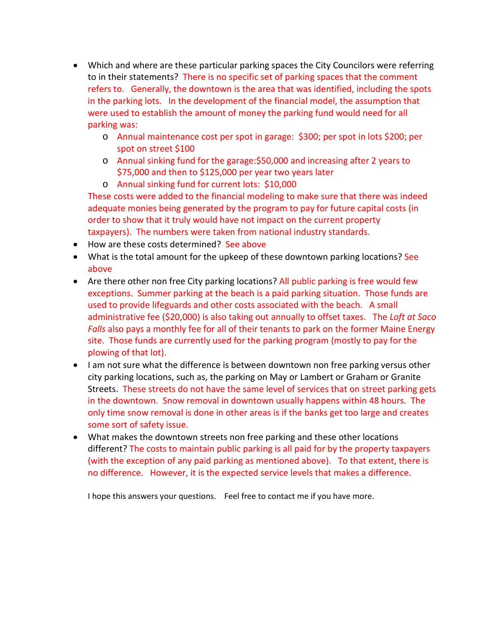- Which and where are these particular parking spaces the City Councilors were referring to in their statements? There is no specific set of parking spaces that the comment refers to. Generally, the downtown is the area that was identified, including the spots in the parking lots. In the development of the financial model, the assumption that were used to establish the amount of money the parking fund would need for all parking was:
	- o Annual maintenance cost per spot in garage: \$300; per spot in lots \$200; per spot on street \$100
	- o Annual sinking fund for the garage:\$50,000 and increasing after 2 years to \$75,000 and then to \$125,000 per year two years later
	- o Annual sinking fund for current lots: \$10,000

These costs were added to the financial modeling to make sure that there was indeed adequate monies being generated by the program to pay for future capital costs (in order to show that it truly would have not impact on the current property taxpayers). The numbers were taken from national industry standards.

- How are these costs determined? See above
- What is the total amount for the upkeep of these downtown parking locations? See above
- Are there other non free City parking locations? All public parking is free would few exceptions. Summer parking at the beach is a paid parking situation. Those funds are used to provide lifeguards and other costs associated with the beach. A small administrative fee (\$20,000) is also taking out annually to offset taxes. The *Loft at Saco Falls* also pays a monthly fee for all of their tenants to park on the former Maine Energy site. Those funds are currently used for the parking program (mostly to pay for the plowing of that lot).
- I am not sure what the difference is between downtown non free parking versus other city parking locations, such as, the parking on May or Lambert or Graham or Granite Streets. These streets do not have the same level of services that on street parking gets in the downtown. Snow removal in downtown usually happens within 48 hours. The only time snow removal is done in other areas is if the banks get too large and creates some sort of safety issue.
- What makes the downtown streets non free parking and these other locations different? The costs to maintain public parking is all paid for by the property taxpayers (with the exception of any paid parking as mentioned above). To that extent, there is no difference. However, it is the expected service levels that makes a difference.

I hope this answers your questions. Feel free to contact me if you have more.